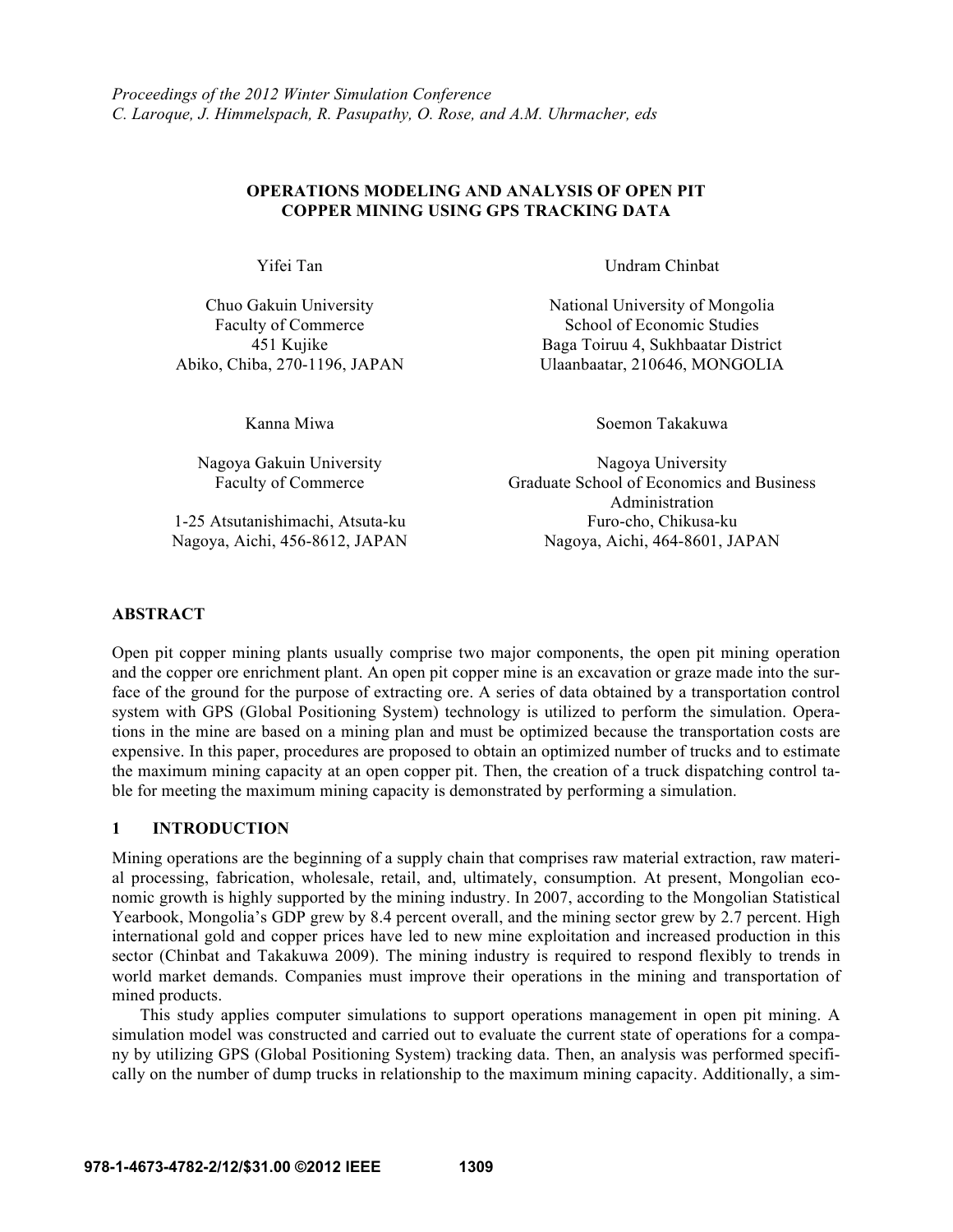# **OPERATIONS MODELING AND ANALYSIS OF OPEN PIT COPPER MINING USING GPS TRACKING DATA**

Yifei Tan Undram Chinbat

Chuo Gakuin University National University of Mongolia Faculty of Commerce School of Economic Studies 451 Kujike Baga Toiruu 4, Sukhbaatar District Abiko, Chiba, 270-1196, JAPAN Ulaanbaatar, 210646, MONGOLIA

Kanna Miwa **Somman Takakuwa** Soemon Takakuwa

Nagoya Gakuin University Nagoya University Faculty of Commerce Graduate School of Economics and Business Administration 1-25 Atsutanishimachi, Atsuta-ku Furo-cho, Chikusa-ku Nagoya, Aichi, 456-8612, JAPAN Nagoya, Aichi, 464-8601, JAPAN

# **ABSTRACT**

Open pit copper mining plants usually comprise two major components, the open pit mining operation and the copper ore enrichment plant. An open pit copper mine is an excavation or graze made into the surface of the ground for the purpose of extracting ore. A series of data obtained by a transportation control system with GPS (Global Positioning System) technology is utilized to perform the simulation. Operations in the mine are based on a mining plan and must be optimized because the transportation costs are expensive. In this paper, procedures are proposed to obtain an optimized number of trucks and to estimate the maximum mining capacity at an open copper pit. Then, the creation of a truck dispatching control table for meeting the maximum mining capacity is demonstrated by performing a simulation.

#### **1 INTRODUCTION**

Mining operations are the beginning of a supply chain that comprises raw material extraction, raw material processing, fabrication, wholesale, retail, and, ultimately, consumption. At present, Mongolian economic growth is highly supported by the mining industry. In 2007, according to the Mongolian Statistical Yearbook, Mongolia's GDP grew by 8.4 percent overall, and the mining sector grew by 2.7 percent. High international gold and copper prices have led to new mine exploitation and increased production in this sector (Chinbat and Takakuwa 2009). The mining industry is required to respond flexibly to trends in world market demands. Companies must improve their operations in the mining and transportation of mined products.

This study applies computer simulations to support operations management in open pit mining. A simulation model was constructed and carried out to evaluate the current state of operations for a company by utilizing GPS (Global Positioning System) tracking data. Then, an analysis was performed specifically on the number of dump trucks in relationship to the maximum mining capacity. Additionally, a sim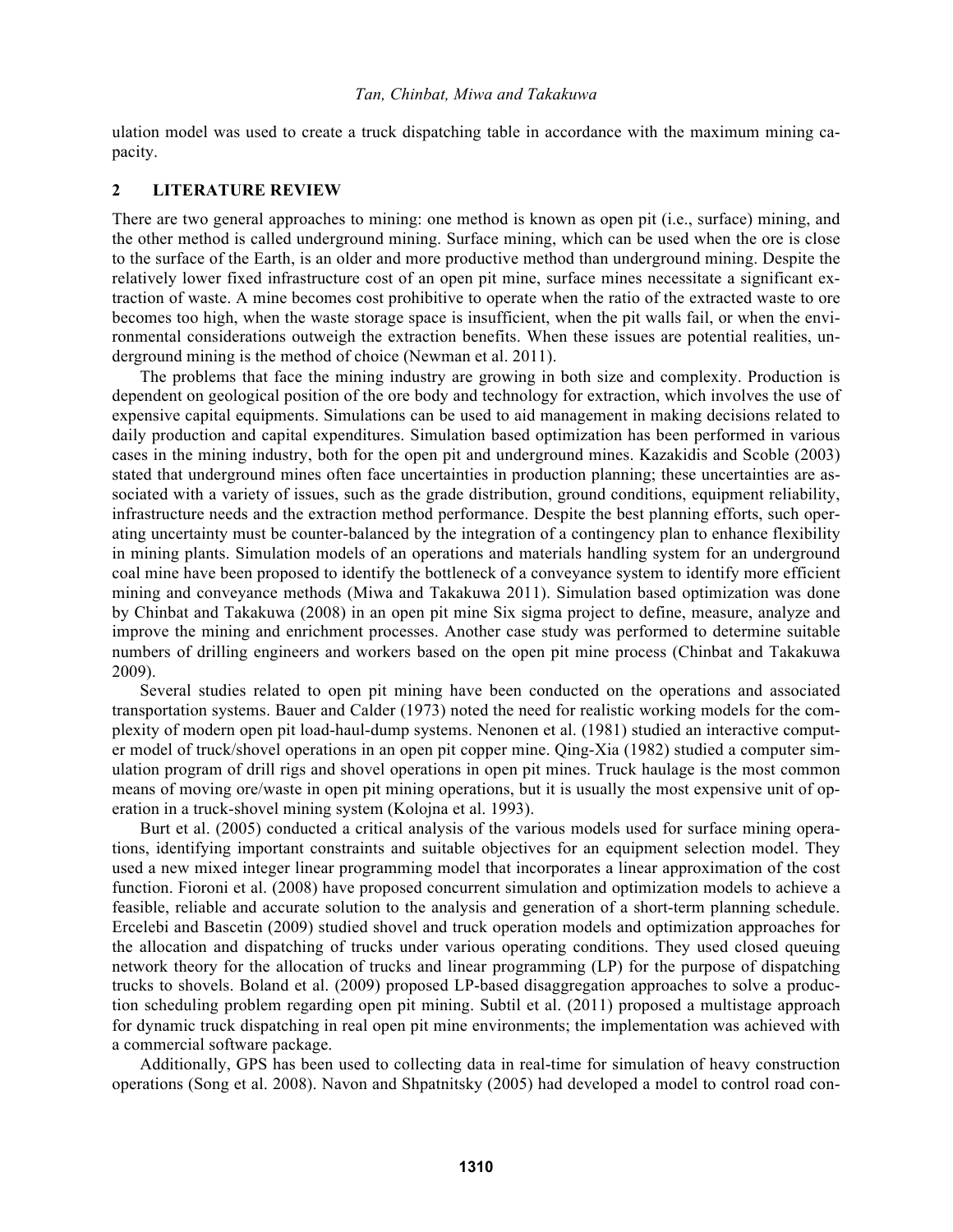ulation model was used to create a truck dispatching table in accordance with the maximum mining capacity.

#### **2 LITERATURE REVIEW**

There are two general approaches to mining: one method is known as open pit (i.e., surface) mining, and the other method is called underground mining. Surface mining, which can be used when the ore is close to the surface of the Earth, is an older and more productive method than underground mining. Despite the relatively lower fixed infrastructure cost of an open pit mine, surface mines necessitate a significant extraction of waste. A mine becomes cost prohibitive to operate when the ratio of the extracted waste to ore becomes too high, when the waste storage space is insufficient, when the pit walls fail, or when the environmental considerations outweigh the extraction benefits. When these issues are potential realities, underground mining is the method of choice (Newman et al. 2011).

The problems that face the mining industry are growing in both size and complexity. Production is dependent on geological position of the ore body and technology for extraction, which involves the use of expensive capital equipments. Simulations can be used to aid management in making decisions related to daily production and capital expenditures. Simulation based optimization has been performed in various cases in the mining industry, both for the open pit and underground mines. Kazakidis and Scoble (2003) stated that underground mines often face uncertainties in production planning; these uncertainties are associated with a variety of issues, such as the grade distribution, ground conditions, equipment reliability, infrastructure needs and the extraction method performance. Despite the best planning efforts, such operating uncertainty must be counter-balanced by the integration of a contingency plan to enhance flexibility in mining plants. Simulation models of an operations and materials handling system for an underground coal mine have been proposed to identify the bottleneck of a conveyance system to identify more efficient mining and conveyance methods (Miwa and Takakuwa 2011). Simulation based optimization was done by Chinbat and Takakuwa (2008) in an open pit mine Six sigma project to define, measure, analyze and improve the mining and enrichment processes. Another case study was performed to determine suitable numbers of drilling engineers and workers based on the open pit mine process (Chinbat and Takakuwa 2009).

Several studies related to open pit mining have been conducted on the operations and associated transportation systems. Bauer and Calder (1973) noted the need for realistic working models for the complexity of modern open pit load-haul-dump systems. Nenonen et al. (1981) studied an interactive computer model of truck/shovel operations in an open pit copper mine. Qing-Xia (1982) studied a computer simulation program of drill rigs and shovel operations in open pit mines. Truck haulage is the most common means of moving ore/waste in open pit mining operations, but it is usually the most expensive unit of operation in a truck-shovel mining system (Kolojna et al. 1993).

Burt et al. (2005) conducted a critical analysis of the various models used for surface mining operations, identifying important constraints and suitable objectives for an equipment selection model. They used a new mixed integer linear programming model that incorporates a linear approximation of the cost function. Fioroni et al. (2008) have proposed concurrent simulation and optimization models to achieve a feasible, reliable and accurate solution to the analysis and generation of a short-term planning schedule. Ercelebi and Bascetin (2009) studied shovel and truck operation models and optimization approaches for the allocation and dispatching of trucks under various operating conditions. They used closed queuing network theory for the allocation of trucks and linear programming (LP) for the purpose of dispatching trucks to shovels. Boland et al. (2009) proposed LP-based disaggregation approaches to solve a production scheduling problem regarding open pit mining. Subtil et al. (2011) proposed a multistage approach for dynamic truck dispatching in real open pit mine environments; the implementation was achieved with a commercial software package.

Additionally, GPS has been used to collecting data in real-time for simulation of heavy construction operations (Song et al. 2008). Navon and Shpatnitsky (2005) had developed a model to control road con-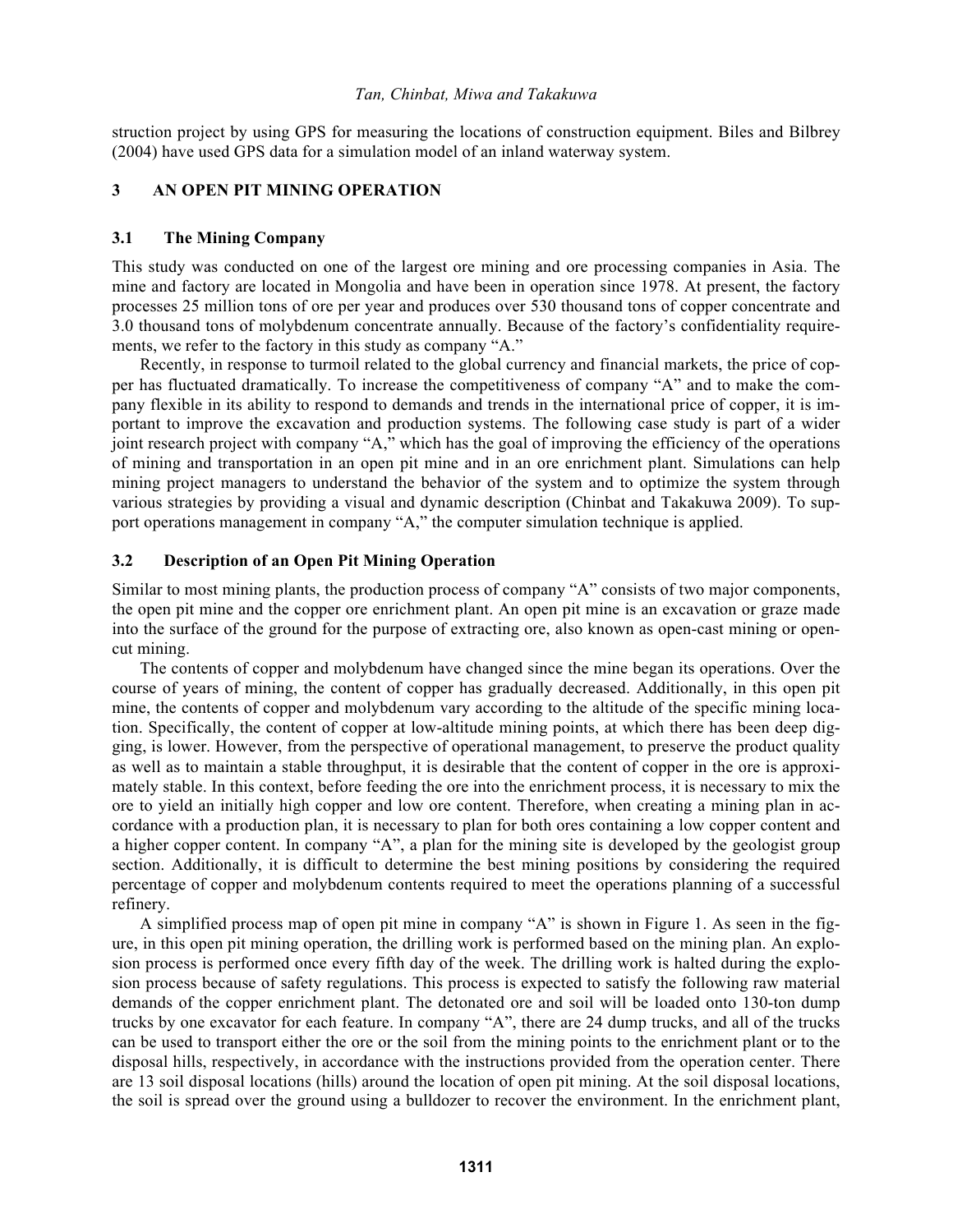struction project by using GPS for measuring the locations of construction equipment. Biles and Bilbrey (2004) have used GPS data for a simulation model of an inland waterway system.

# **3 AN OPEN PIT MINING OPERATION**

### **3.1 The Mining Company**

This study was conducted on one of the largest ore mining and ore processing companies in Asia. The mine and factory are located in Mongolia and have been in operation since 1978. At present, the factory processes 25 million tons of ore per year and produces over 530 thousand tons of copper concentrate and 3.0 thousand tons of molybdenum concentrate annually. Because of the factory's confidentiality requirements, we refer to the factory in this study as company "A."

Recently, in response to turmoil related to the global currency and financial markets, the price of copper has fluctuated dramatically. To increase the competitiveness of company "A" and to make the company flexible in its ability to respond to demands and trends in the international price of copper, it is important to improve the excavation and production systems. The following case study is part of a wider joint research project with company "A," which has the goal of improving the efficiency of the operations of mining and transportation in an open pit mine and in an ore enrichment plant. Simulations can help mining project managers to understand the behavior of the system and to optimize the system through various strategies by providing a visual and dynamic description (Chinbat and Takakuwa 2009). To support operations management in company "A," the computer simulation technique is applied.

# **3.2 Description of an Open Pit Mining Operation**

Similar to most mining plants, the production process of company "A" consists of two major components, the open pit mine and the copper ore enrichment plant. An open pit mine is an excavation or graze made into the surface of the ground for the purpose of extracting ore, also known as open-cast mining or opencut mining.

The contents of copper and molybdenum have changed since the mine began its operations. Over the course of years of mining, the content of copper has gradually decreased. Additionally, in this open pit mine, the contents of copper and molybdenum vary according to the altitude of the specific mining location. Specifically, the content of copper at low-altitude mining points, at which there has been deep digging, is lower. However, from the perspective of operational management, to preserve the product quality as well as to maintain a stable throughput, it is desirable that the content of copper in the ore is approximately stable. In this context, before feeding the ore into the enrichment process, it is necessary to mix the ore to yield an initially high copper and low ore content. Therefore, when creating a mining plan in accordance with a production plan, it is necessary to plan for both ores containing a low copper content and a higher copper content. In company "A", a plan for the mining site is developed by the geologist group section. Additionally, it is difficult to determine the best mining positions by considering the required percentage of copper and molybdenum contents required to meet the operations planning of a successful refinery.

A simplified process map of open pit mine in company "A" is shown in Figure 1. As seen in the figure, in this open pit mining operation, the drilling work is performed based on the mining plan. An explosion process is performed once every fifth day of the week. The drilling work is halted during the explosion process because of safety regulations. This process is expected to satisfy the following raw material demands of the copper enrichment plant. The detonated ore and soil will be loaded onto 130-ton dump trucks by one excavator for each feature. In company "A", there are 24 dump trucks, and all of the trucks can be used to transport either the ore or the soil from the mining points to the enrichment plant or to the disposal hills, respectively, in accordance with the instructions provided from the operation center. There are 13 soil disposal locations (hills) around the location of open pit mining. At the soil disposal locations, the soil is spread over the ground using a bulldozer to recover the environment. In the enrichment plant,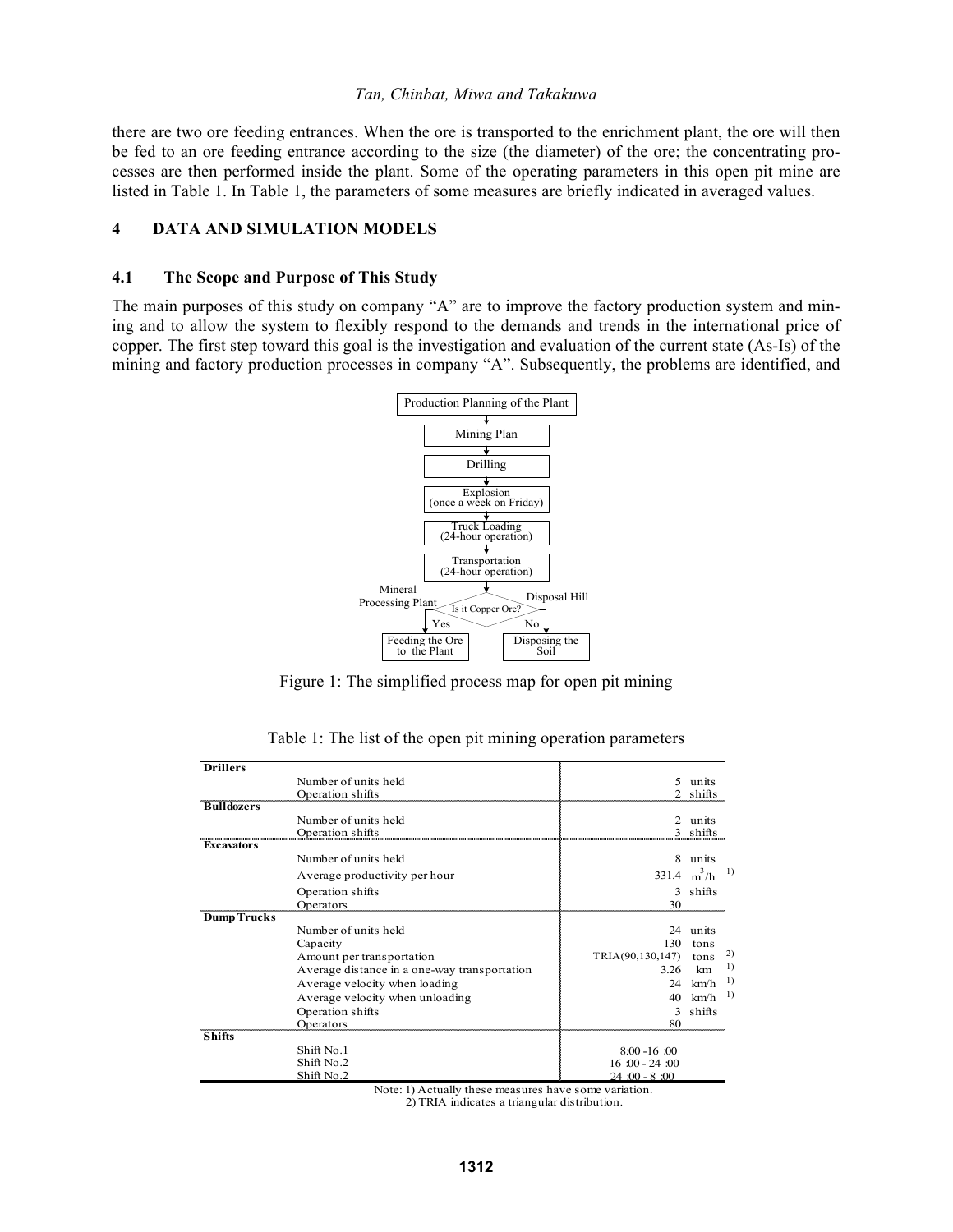there are two ore feeding entrances. When the ore is transported to the enrichment plant, the ore will then be fed to an ore feeding entrance according to the size (the diameter) of the ore; the concentrating processes are then performed inside the plant. Some of the operating parameters in this open pit mine are listed in Table 1. In Table 1, the parameters of some measures are briefly indicated in averaged values.

# **4 DATA AND SIMULATION MODELS**

#### **4.1 The Scope and Purpose of This Study**

The main purposes of this study on company "A" are to improve the factory production system and mining and to allow the system to flexibly respond to the demands and trends in the international price of copper. The first step toward this goal is the investigation and evaluation of the current state (As-Is) of the mining and factory production processes in company "A". Subsequently, the problems are identified, and



Figure 1: The simplified process map for open pit mining

| <b>Drillers</b>    |                                                                                                                                                                                                                                                                                       |                  |               |        |
|--------------------|---------------------------------------------------------------------------------------------------------------------------------------------------------------------------------------------------------------------------------------------------------------------------------------|------------------|---------------|--------|
|                    | Number of units held                                                                                                                                                                                                                                                                  | 5.               | units         |        |
|                    | Operation shifts                                                                                                                                                                                                                                                                      |                  | 2 shifts      |        |
| <b>Bulldozers</b>  |                                                                                                                                                                                                                                                                                       |                  |               |        |
|                    | Number of units held                                                                                                                                                                                                                                                                  | 2                | units         |        |
|                    | Operation shifts                                                                                                                                                                                                                                                                      |                  | 3 shifts      |        |
| <b>Excavators</b>  |                                                                                                                                                                                                                                                                                       |                  |               |        |
|                    | Number of units held                                                                                                                                                                                                                                                                  | 8                | units         |        |
|                    | Average productivity per hour                                                                                                                                                                                                                                                         |                  | 331.4 $m^3/h$ | 1)     |
|                    | Operation shifts                                                                                                                                                                                                                                                                      | 3                | shifts        |        |
|                    | Operators                                                                                                                                                                                                                                                                             | 30               |               |        |
| <b>Dump Trucks</b> |                                                                                                                                                                                                                                                                                       |                  |               |        |
|                    | Number of units held                                                                                                                                                                                                                                                                  | 24               | units         |        |
|                    | Capacity                                                                                                                                                                                                                                                                              | 130              | tons          |        |
|                    | Amount per transportation                                                                                                                                                                                                                                                             | TRIA(90,130,147) | tons          | 2)     |
|                    | Average distance in a one-way transportation                                                                                                                                                                                                                                          | 3.26             | km            | $_{1}$ |
|                    | Average velocity when loading                                                                                                                                                                                                                                                         | 24               | km/h          | 1)     |
|                    | Average velocity when unloading                                                                                                                                                                                                                                                       | 40               | km/h          | 1)     |
|                    | Operation shifts                                                                                                                                                                                                                                                                      | 3                | shifts        |        |
|                    | Operators                                                                                                                                                                                                                                                                             | 80               |               |        |
| <b>Shifts</b>      |                                                                                                                                                                                                                                                                                       |                  |               |        |
|                    | Shift No.1                                                                                                                                                                                                                                                                            | $8:00 - 16:00$   |               |        |
|                    | Shift No.2                                                                                                                                                                                                                                                                            | $16:00 - 24:00$  |               |        |
|                    | Shift No.2                                                                                                                                                                                                                                                                            | $24:00 - 8:00$   |               |        |
|                    | $N = 4 - 1$ , $N = 4 - 1$ , $N = 1$ , $N = 1$ , $N = 1$ , $N = 1$ , $N = 1$ , $N = 1$ , $N = 1$ , $N = 1$ , $N = 1$ , $N = 1$ , $N = 1$ , $N = 1$ , $N = 1$ , $N = 1$ , $N = 1$ , $N = 1$ , $N = 1$ , $N = 1$ , $N = 1$ , $N = 1$ , $N = 1$ , $N = 1$ , $N = 1$ , $N = 1$ , $N = 1$ , |                  |               |        |

Table 1: The list of the open pit mining operation parameters

Note: 1) Actually these measures have some variation.

2) TRIA indicates a triangular distribution.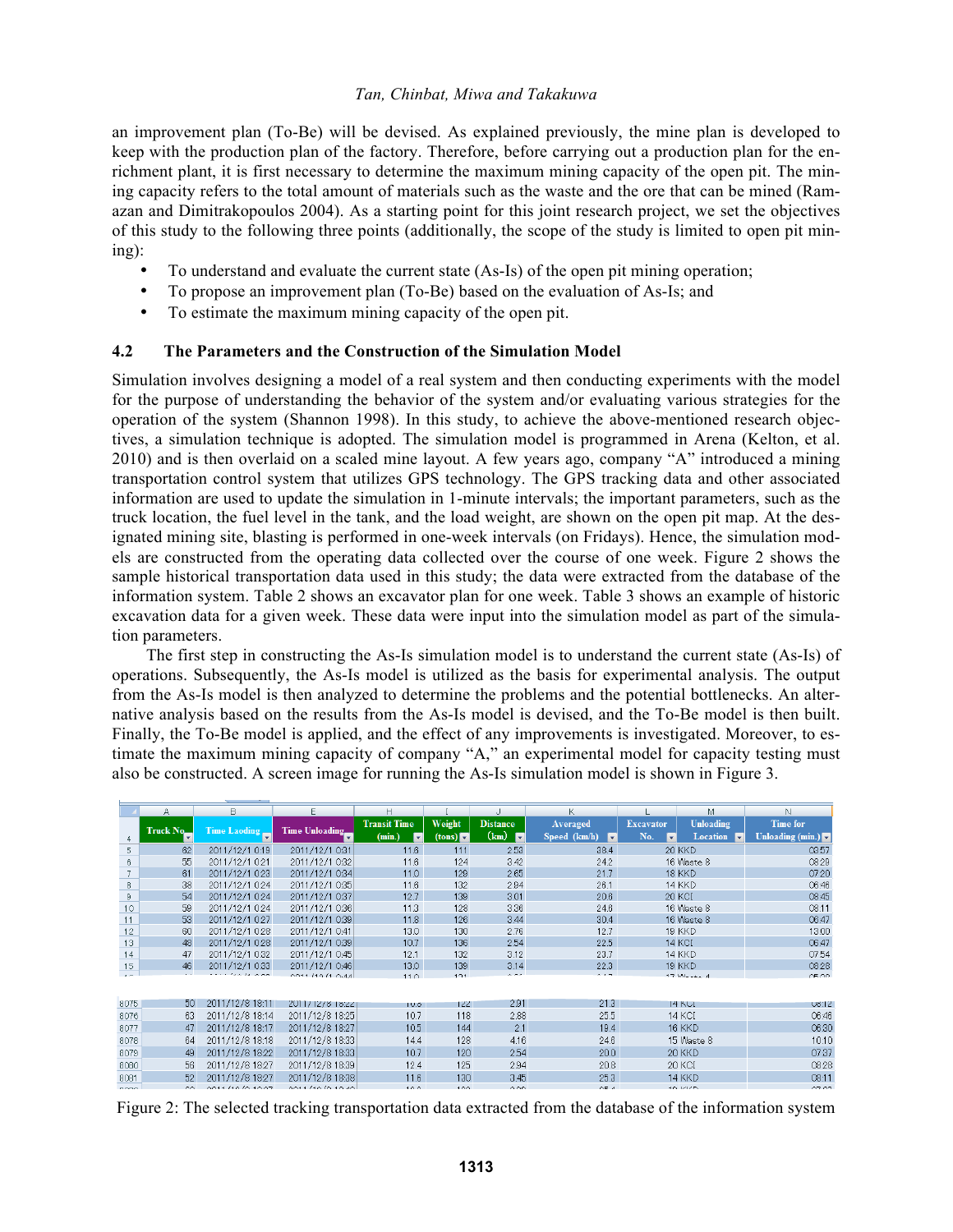an improvement plan (To-Be) will be devised. As explained previously, the mine plan is developed to keep with the production plan of the factory. Therefore, before carrying out a production plan for the enrichment plant, it is first necessary to determine the maximum mining capacity of the open pit. The mining capacity refers to the total amount of materials such as the waste and the ore that can be mined (Ramazan and Dimitrakopoulos 2004). As a starting point for this joint research project, we set the objectives of this study to the following three points (additionally, the scope of the study is limited to open pit mining):

- To understand and evaluate the current state (As-Is) of the open pit mining operation;
- To propose an improvement plan (To-Be) based on the evaluation of As-Is; and
- To estimate the maximum mining capacity of the open pit.

# **4.2 The Parameters and the Construction of the Simulation Model**

Simulation involves designing a model of a real system and then conducting experiments with the model for the purpose of understanding the behavior of the system and/or evaluating various strategies for the operation of the system (Shannon 1998). In this study, to achieve the above-mentioned research objectives, a simulation technique is adopted. The simulation model is programmed in Arena (Kelton, et al. 2010) and is then overlaid on a scaled mine layout. A few years ago, company "A" introduced a mining transportation control system that utilizes GPS technology. The GPS tracking data and other associated information are used to update the simulation in 1-minute intervals; the important parameters, such as the truck location, the fuel level in the tank, and the load weight, are shown on the open pit map. At the designated mining site, blasting is performed in one-week intervals (on Fridays). Hence, the simulation models are constructed from the operating data collected over the course of one week. Figure 2 shows the sample historical transportation data used in this study; the data were extracted from the database of the information system. Table 2 shows an excavator plan for one week. Table 3 shows an example of historic excavation data for a given week. These data were input into the simulation model as part of the simulation parameters.

The first step in constructing the As-Is simulation model is to understand the current state (As-Is) of operations. Subsequently, the As-Is model is utilized as the basis for experimental analysis. The output from the As-Is model is then analyzed to determine the problems and the potential bottlenecks. An alternative analysis based on the results from the As-Is model is devised, and the To-Be model is then built. Finally, the To-Be model is applied, and the effect of any improvements is investigated. Moreover, to estimate the maximum mining capacity of company "A," an experimental model for capacity testing must also be constructed. A screen image for running the As-Is simulation model is shown in Figure 3.

|        | A                    | B                    | E                     | H                   |                 | J                                | K                                        |                     | M.                   | N                |
|--------|----------------------|----------------------|-----------------------|---------------------|-----------------|----------------------------------|------------------------------------------|---------------------|----------------------|------------------|
|        |                      |                      | Time Unloading_       | <b>Transit Time</b> | Weight          | <b>Distance</b>                  | Averaged                                 | <b>Excavator</b>    | Unloading            | <b>Time for</b>  |
| 4      | Truck No_            | Time Laoding         |                       | (min.)              | $(\text{tons})$ | (km)<br>$\overline{\phantom{a}}$ | Speed (km/h)<br>$\overline{\phantom{a}}$ | No.<br>$\mathbf{v}$ | <b>Location</b><br>H | Unloading (min.) |
| 5      | 62                   | 2011/12/1 0:19       | 2011/12/1 0:31        | 11.6                | 111             | 2.53                             | 38.4                                     |                     | 20 KKD               | 03:57            |
| 6      | 55                   | 2011/12/1 0:21       | 2011/12/1 0:32        | 11.6                | 124             | 3.42                             | 24.2                                     |                     | 16 Waste 8           | 08:29            |
| 7      | 61                   | 2011/12/1 023        | 2011/12/1 0:34        | 11.0                | 129             | 2.65                             | 21.7                                     |                     | 18 KKD               | 07:20            |
| 8      | 38                   | 2011/12/1 0:24       | 2011/12/1 0:35        | 11.6                | 132             | 2.94                             | 26.1                                     |                     | 14 KKD               | 06:46            |
| 9      | 54                   | 2011/12/1 0:24       | 2011/12/1 0:37        | 12.7                | 139             | 3.01                             | 20.6                                     |                     | 20 KCI               | 08:45            |
| 10     | 59                   | 2011/12/1 024        | 2011/12/1 0:36        | 11.3                | 128             | 3.36                             | 24.6                                     |                     | 16 Waste 8           | 08:11            |
| 11     | 53                   | 2011/12/1 027        | 2011/12/1 0:39        | 11.8                | 126             | 3.44                             | 30.4                                     |                     | 16 Waste 8           | 06:47            |
| 12     | 60                   | 2011/12/1 0:28       | 2011/12/1 0:41        | 13.0                | 130             | 2.76                             | 12.7                                     |                     | <b>19 KKD</b>        | 13:00            |
| 13     | 48                   | 2011/12/1 0:28       | 2011/12/1 0:39        | 10.7                | 136             | 2.54                             | 22.5                                     |                     | 14 KCI               | 06:47            |
| 14     | 47                   | 2011/12/1 0:32       | 2011/12/1 0:45        | 12.1                | 132             | 3.12                             | 23.7                                     |                     | 14 KKD               | 07:54            |
| 15     | 46                   | 2011/12/1 0:33       | 2011/12/1 0:46        | 13.0                | 139             | 3.14                             | 22.3                                     |                     | 19 KKD               | 08:28            |
| $\sim$ | $\ddot{\phantom{0}}$ | $0.011$ $110$ $1100$ | 001111011014          | 11 <sub>0</sub>     | 121             | $\sim$ $\sim$ $\sim$             | $A + B$                                  |                     | $17$ Where $\Lambda$ | 05.20            |
|        |                      |                      |                       |                     |                 |                                  |                                          |                     |                      |                  |
| 8075   | 50                   | 2011/12/8 18:11      | 2011/12/8 18:22       | TU.6                | 122             | 2.91                             | 21.3                                     |                     | 14 KGI               | U8:12            |
| 8076   | 63                   | 2011/12/8 18:14      | 2011/12/8 18:25       | 10.7                | 118             | 2.88                             | 25.5                                     |                     | <b>14 KCI</b>        | 06:46            |
| 8077   | 47                   | 2011/12/8 18:17      | 2011/12/8 18:27       | 10.5                | 144             | 2.1                              | 19.4                                     |                     | 16 KKD               | 06:30            |
| 8078   | 64                   | 2011/12/8 18:18      | 2011/12/8 18:33       | 14.4                | 128             | 4.16                             | 24.6                                     |                     | 15 Waste 8           | 10:10            |
| 8079   | 49                   | 2011/12/8 18:22      | 2011/12/8 18:33       | 10.7                | 120             | 2.54                             | 20.0                                     |                     | 20 KKD               | 07:37            |
| 8080   | 56                   | 2011/12/8 18:27      | 2011/12/8 18:39       | 12.4                | 125             | 2.94                             | 20.8                                     |                     | 20 KCI               | 08:28            |
| 8081   | 52                   | 2011/12/8 18:27      | 2011/12/8 18:38       | 11.6                | 130             | 3.45                             | 25.3                                     |                     | 14 KKD               | 08:11            |
| 0000   | $\circ$ $\circ$      | 001111010101007      | $0.011$ (10.10.10.10) | 100                 | 100             | 0.00                             | $\triangle \Box A$                       |                     | 40 I/I/D             | 07.09            |

Figure 2: The selected tracking transportation data extracted from the database of the information system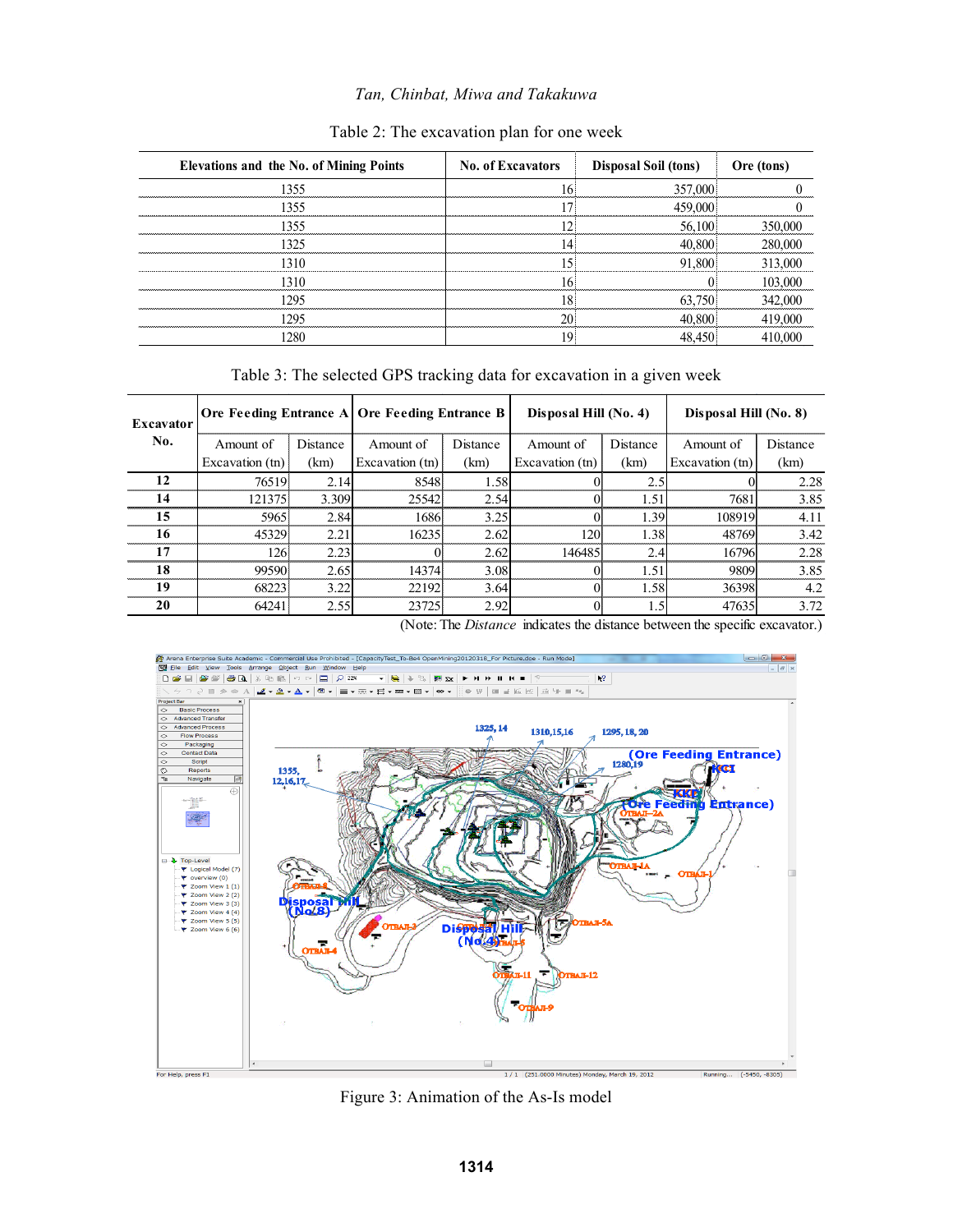| <b>Elevations and the No. of Mining Points</b> | <b>No. of Excavators</b> | <b>Disposal Soil (tons)</b> | Ore (tons) |
|------------------------------------------------|--------------------------|-----------------------------|------------|
| 1355.                                          |                          | 357,000                     |            |
| 1355                                           |                          | 459,000                     |            |
| 1355.                                          |                          | 56,100                      | 350.000    |
| 1325                                           |                          | 40,800                      | 280,000    |
| 1310                                           |                          | 91.800                      | 313,000    |
| 1310                                           |                          |                             | 103,000    |
| 1295                                           |                          | 63,750                      | 342,000    |
| 205                                            |                          | 40.800                      | 419,000    |
| 1280                                           |                          |                             |            |

### Table 2: The excavation plan for one week

Table 3: The selected GPS tracking data for excavation in a given week

| <b>Excavator</b> |                 |          | <b>Ore Feeding Entrance A   Ore Feeding Entrance B</b> |          | Disposal Hill (No. 4) |                  | Disposal Hill (No. 8) |          |  |
|------------------|-----------------|----------|--------------------------------------------------------|----------|-----------------------|------------------|-----------------------|----------|--|
| No.              | Amount of       | Distance | Amount of                                              | Distance | Amount of             | <b>Distance</b>  | Amount of             | Distance |  |
|                  | Excavation (tn) | (km)     | Excavation (tn)                                        | (km)     | Excavation (tn)       | (km)             | Excavation (tn)       | (km)     |  |
| 12               | 76519           | 2.14     | 8548                                                   | .58      |                       | 2.5              |                       | 2.28     |  |
| 14               | 121375          | 3.309    | 25542                                                  | 2.54     |                       | 6.5 <sup>1</sup> | 7681                  | 3.85     |  |
| 15               | 5965            | 2.84     | 1686                                                   | 3.25     |                       | 1.39             | 108919                | 4.11     |  |
| 16               | 45329           | 2.21     | 16235                                                  | 2.62     | 1201                  | 1.38             | 48769                 | 3.42     |  |
| 17               | 126             | 2.23     |                                                        | 2.62     | 146485                | 2.4              | 16796                 | 2.28     |  |
| 18               | 99590           | 2.65     | 14374                                                  | 3.08     |                       | 51               | 9809                  | 3.85     |  |
| 19               | 68223           | 3.22     | 22192                                                  | 3.64     |                       | 1.58             | 36398                 | 4.2      |  |
| 20               | 64241           | 2.55     | 23725                                                  | 2.92     |                       |                  | 47635                 | 3.72     |  |

(Note: The *Distance* indicates the distance between the specific excavator.)



Figure 3: Animation of the As-Is model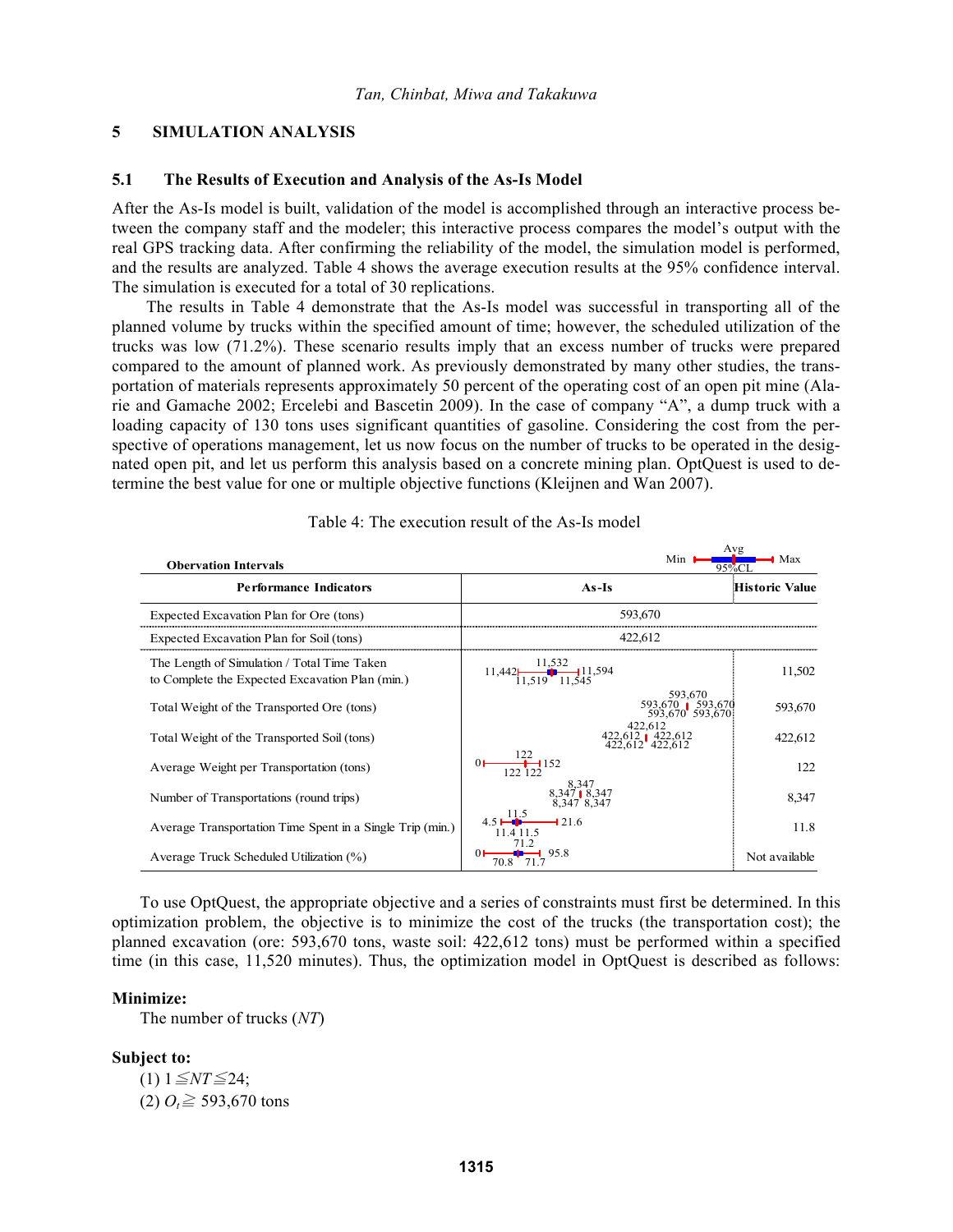# **5 SIMULATION ANALYSIS**

#### **5.1 The Results of Execution and Analysis of the As-Is Model**

After the As-Is model is built, validation of the model is accomplished through an interactive process between the company staff and the modeler; this interactive process compares the model's output with the real GPS tracking data. After confirming the reliability of the model, the simulation model is performed, and the results are analyzed. Table 4 shows the average execution results at the 95% confidence interval. The simulation is executed for a total of 30 replications.

The results in Table 4 demonstrate that the As-Is model was successful in transporting all of the planned volume by trucks within the specified amount of time; however, the scheduled utilization of the trucks was low (71.2%). These scenario results imply that an excess number of trucks were prepared compared to the amount of planned work. As previously demonstrated by many other studies, the transportation of materials represents approximately 50 percent of the operating cost of an open pit mine (Alarie and Gamache 2002; Ercelebi and Bascetin 2009). In the case of company "A", a dump truck with a loading capacity of 130 tons uses significant quantities of gasoline. Considering the cost from the perspective of operations management, let us now focus on the number of trucks to be operated in the designated open pit, and let us perform this analysis based on a concrete mining plan. OptQuest is used to determine the best value for one or multiple objective functions (Kleijnen and Wan 2007).

| <b>Obervation Intervals</b>                                                                    | Avg<br>Min<br>Max<br>95%CL                       |                       |  |  |  |
|------------------------------------------------------------------------------------------------|--------------------------------------------------|-----------------------|--|--|--|
| <b>Performance Indicators</b>                                                                  | $As-Is$                                          | <b>Historic Value</b> |  |  |  |
| Expected Excavation Plan for Ore (tons)                                                        | 593.670                                          |                       |  |  |  |
| Expected Excavation Plan for Soil (tons)                                                       | 422.612                                          |                       |  |  |  |
| The Length of Simulation / Total Time Taken<br>to Complete the Expected Excavation Plan (min.) | $11,442$ $11,532$ $11,594$<br>$11,519$ $11,545$  | 11,502                |  |  |  |
| Total Weight of the Transported Ore (tons)                                                     | 593.670<br>593,670 593,670<br>593,670 593,670    | 593,670               |  |  |  |
| Total Weight of the Transported Soil (tons)                                                    | 422,612<br>422,612<br>422,612<br>422,612         | 422,612               |  |  |  |
| Average Weight per Transportation (tons)                                                       | $\frac{122}{1}$ 152<br>0 <sub>F</sub><br>122 122 | 122                   |  |  |  |
| Number of Transportations (round trips)                                                        | 8,347<br>8,347   8,347<br>8.347 8.347            | 8,347                 |  |  |  |
| Average Transportation Time Spent in a Single Trip (min.)                                      | $4.5 + 11.5$<br>$-121.6$<br>114115               | 11.8                  |  |  |  |
| Average Truck Scheduled Utilization (%)                                                        | - 95.8<br>70.8 71.7                              | Not available         |  |  |  |

Table 4: The execution result of the As-Is model

To use OptQuest, the appropriate objective and a series of constraints must first be determined. In this optimization problem, the objective is to minimize the cost of the trucks (the transportation cost); the planned excavation (ore: 593,670 tons, waste soil: 422,612 tons) must be performed within a specified time (in this case, 11,520 minutes). Thus, the optimization model in OptQuest is described as follows:

#### **Minimize:**

The number of trucks (*NT*)

#### **Subject to:**

 $(1)$  1 $\leq$ NT $\leq$ 24;  $(2)$   $O_t \geq 593,670$  tons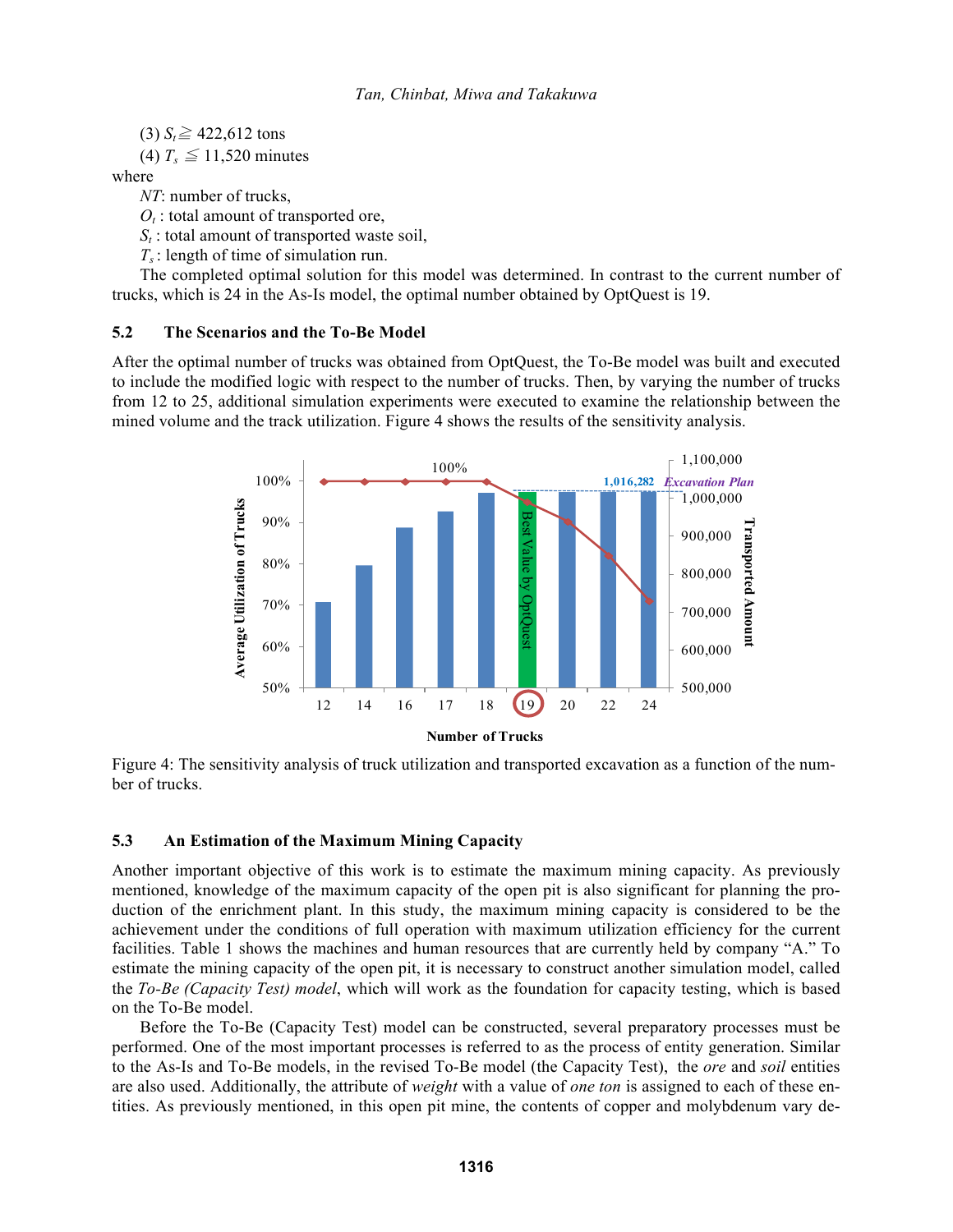$(3) S_t \ge 422,612 \text{ tons}$ 

(4)  $T_s \le 11,520$  minutes

where

*NT*: number of trucks,

 $O_t$ : total amount of transported ore,

*St* : total amount of transported waste soil,

*Ts* : length of time of simulation run.

The completed optimal solution for this model was determined. In contrast to the current number of trucks, which is 24 in the As-Is model, the optimal number obtained by OptQuest is 19.

### **5.2 The Scenarios and the To-Be Model**

After the optimal number of trucks was obtained from OptQuest, the To-Be model was built and executed to include the modified logic with respect to the number of trucks. Then, by varying the number of trucks from 12 to 25, additional simulation experiments were executed to examine the relationship between the mined volume and the track utilization. Figure 4 shows the results of the sensitivity analysis.



Figure 4: The sensitivity analysis of truck utilization and transported excavation as a function of the number of trucks.

# **5.3 An Estimation of the Maximum Mining Capacity**

Another important objective of this work is to estimate the maximum mining capacity. As previously mentioned, knowledge of the maximum capacity of the open pit is also significant for planning the production of the enrichment plant. In this study, the maximum mining capacity is considered to be the achievement under the conditions of full operation with maximum utilization efficiency for the current facilities. Table 1 shows the machines and human resources that are currently held by company "A." To estimate the mining capacity of the open pit, it is necessary to construct another simulation model, called the *To-Be (Capacity Test) model*, which will work as the foundation for capacity testing, which is based on the To-Be model.

Before the To-Be (Capacity Test) model can be constructed, several preparatory processes must be performed. One of the most important processes is referred to as the process of entity generation. Similar to the As-Is and To-Be models, in the revised To-Be model (the Capacity Test), the *ore* and *soil* entities are also used. Additionally, the attribute of *weight* with a value of *one ton* is assigned to each of these entities. As previously mentioned, in this open pit mine, the contents of copper and molybdenum vary de-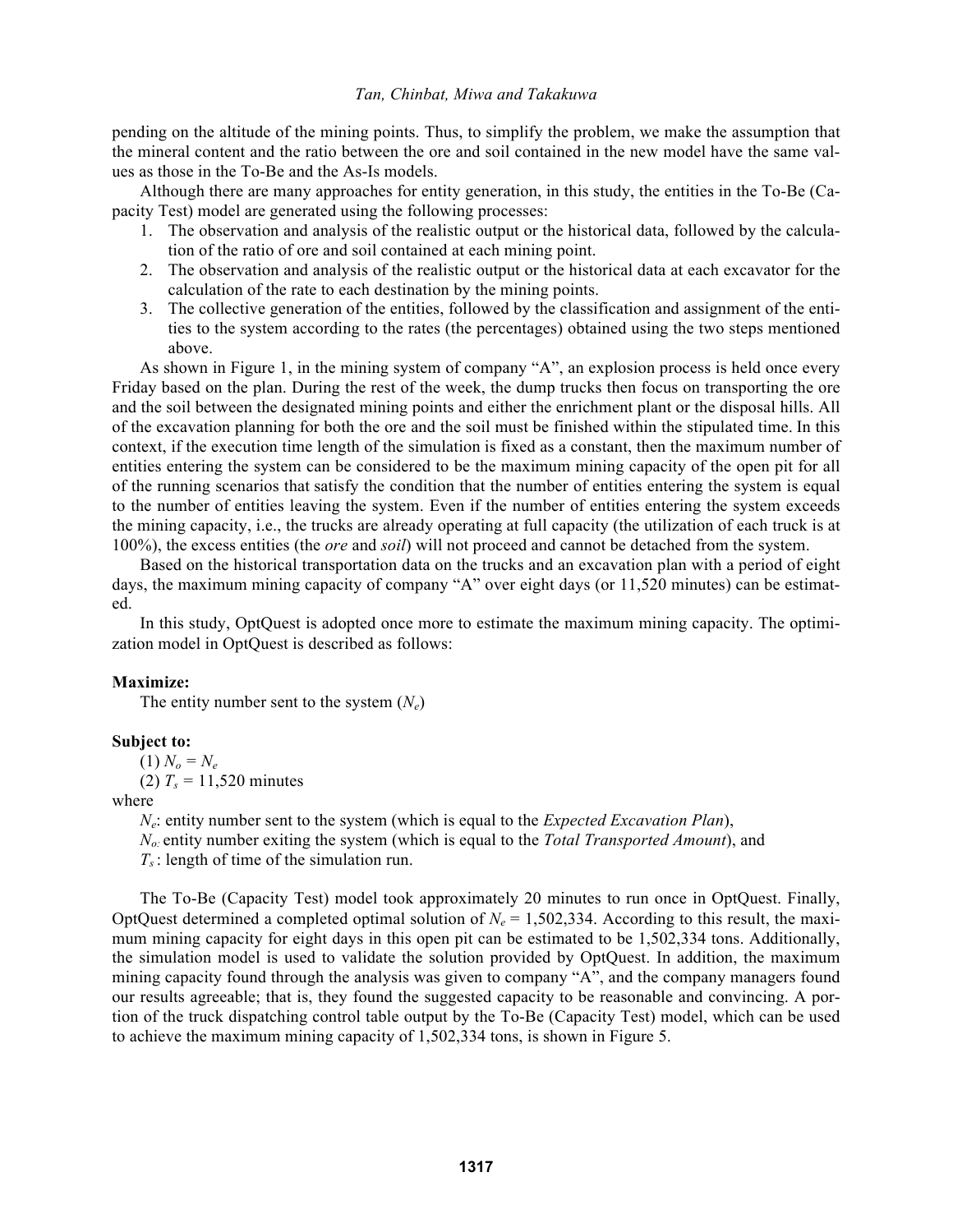pending on the altitude of the mining points. Thus, to simplify the problem, we make the assumption that the mineral content and the ratio between the ore and soil contained in the new model have the same values as those in the To-Be and the As-Is models.

Although there are many approaches for entity generation, in this study, the entities in the To-Be (Capacity Test) model are generated using the following processes:

- 1. The observation and analysis of the realistic output or the historical data, followed by the calculation of the ratio of ore and soil contained at each mining point.
- 2. The observation and analysis of the realistic output or the historical data at each excavator for the calculation of the rate to each destination by the mining points.
- 3. The collective generation of the entities, followed by the classification and assignment of the entities to the system according to the rates (the percentages) obtained using the two steps mentioned above.

As shown in Figure 1, in the mining system of company "A", an explosion process is held once every Friday based on the plan. During the rest of the week, the dump trucks then focus on transporting the ore and the soil between the designated mining points and either the enrichment plant or the disposal hills. All of the excavation planning for both the ore and the soil must be finished within the stipulated time. In this context, if the execution time length of the simulation is fixed as a constant, then the maximum number of entities entering the system can be considered to be the maximum mining capacity of the open pit for all of the running scenarios that satisfy the condition that the number of entities entering the system is equal to the number of entities leaving the system. Even if the number of entities entering the system exceeds the mining capacity, i.e., the trucks are already operating at full capacity (the utilization of each truck is at 100%), the excess entities (the *ore* and *soil*) will not proceed and cannot be detached from the system.

Based on the historical transportation data on the trucks and an excavation plan with a period of eight days, the maximum mining capacity of company "A" over eight days (or 11,520 minutes) can be estimated.

In this study, OptQuest is adopted once more to estimate the maximum mining capacity. The optimization model in OptQuest is described as follows:

#### **Maximize:**

The entity number sent to the system (*Ne*)

#### **Subject to:**

 $(1)$   $N_o = N_e$ (2)  $T_s = 11,520$  minutes

where

*Ne*: entity number sent to the system (which is equal to the *Expected Excavation Plan*),

*No:* entity number exiting the system (which is equal to the *Total Transported Amount*), and

*Ts* : length of time of the simulation run.

The To-Be (Capacity Test) model took approximately 20 minutes to run once in OptQuest. Finally, OptQuest determined a completed optimal solution of  $N_e = 1,502,334$ . According to this result, the maximum mining capacity for eight days in this open pit can be estimated to be 1,502,334 tons. Additionally, the simulation model is used to validate the solution provided by OptQuest. In addition, the maximum mining capacity found through the analysis was given to company "A", and the company managers found our results agreeable; that is, they found the suggested capacity to be reasonable and convincing. A portion of the truck dispatching control table output by the To-Be (Capacity Test) model, which can be used to achieve the maximum mining capacity of 1,502,334 tons, is shown in Figure 5.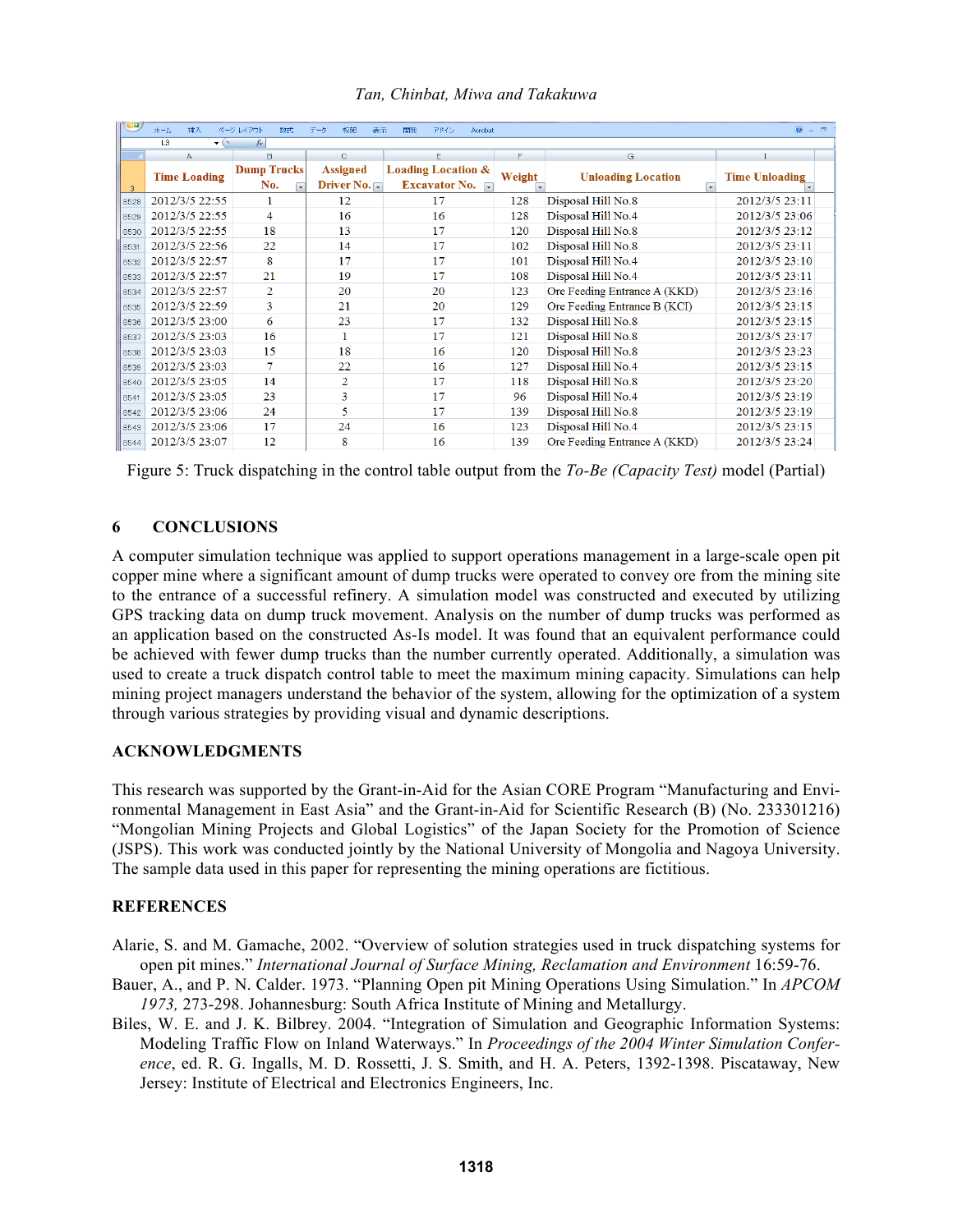|      | 挿入<br>ホーム              | ページレイアウト<br>数式     | データ<br>校閲<br>表示   | アドイン<br>開発<br>Acrobat         |        |                              | $\odot - \circ$          |  |
|------|------------------------|--------------------|-------------------|-------------------------------|--------|------------------------------|--------------------------|--|
|      | L3<br>$\mathbf{v}$ (a) | $f_x$              |                   |                               |        |                              |                          |  |
|      | A                      | R.                 | C                 | F                             | F      | G                            |                          |  |
|      | <b>Time Loading</b>    | <b>Dump Trucks</b> | <b>Assigned</b>   | <b>Loading Location &amp;</b> | Weight | <b>Unloading Location</b>    | <b>Time Unloading</b>    |  |
| 3    |                        | No.<br>≂           | <b>Driver No.</b> | <b>Excavator No.</b>          | ≂      |                              | $\overline{\phantom{a}}$ |  |
| 8528 | 2012/3/5 22:55         |                    | 12                | 17                            | 128    | Disposal Hill No.8           | 2012/3/5 23:11           |  |
| 8529 | 2012/3/5 22:55         | 4                  | 16                | 16                            | 128    | Disposal Hill No.4           | 2012/3/5 23:06           |  |
| 8530 | 2012/3/5 22:55         | 18                 | 13                | 17                            | 120    | Disposal Hill No.8           | 2012/3/5 23:12           |  |
| 8531 | 2012/3/5 22:56         | 22                 | 14                | 17                            | 102    | Disposal Hill No.8           | 2012/3/5 23:11           |  |
| 8532 | 2012/3/5 22:57         | 8                  | 17                | 17                            | 101    | Disposal Hill No.4           | 2012/3/5 23:10           |  |
| 8533 | 2012/3/5 22:57         | 21                 | 19                | 17                            | 108    | Disposal Hill No.4           | 2012/3/5 23:11           |  |
| 8534 | 2012/3/5 22:57         | $\overline{2}$     | 20                | 20                            | 123    | Ore Feeding Entrance A (KKD) | 2012/3/5 23:16           |  |
| 8535 | 2012/3/5 22:59         | 3                  | 21                | 20                            | 129    | Ore Feeding Entrance B (KCI) | 2012/3/5 23:15           |  |
| 8536 | 2012/3/5 23:00         | 6                  | 23                | 17                            | 132    | Disposal Hill No.8           | 2012/3/5 23:15           |  |
| 8537 | 2012/3/5 23:03         | 16                 |                   | 17                            | 121    | Disposal Hill No.8           | 2012/3/5 23:17           |  |
| 8538 | 2012/3/5 23:03         | 15                 | 18                | 16                            | 120    | Disposal Hill No.8           | 2012/3/5 23:23           |  |
| 8539 | 2012/3/5 23:03         | 7                  | 22                | 16                            | 127    | Disposal Hill No.4           | 2012/3/5 23:15           |  |
| 8540 | 2012/3/5 23:05         | 14                 | $\overline{2}$    | 17                            | 118    | Disposal Hill No.8           | 2012/3/5 23:20           |  |
| 8541 | 2012/3/5 23:05         | 23                 | 3                 | 17                            | 96     | Disposal Hill No.4           | 2012/3/5 23:19           |  |
| 8542 | 2012/3/5 23:06         | 24                 | 5                 | 17                            | 139    | Disposal Hill No.8           | 2012/3/5 23:19           |  |
| 8543 | 2012/3/5 23:06         | 17                 | 24                | 16                            | 123    | Disposal Hill No.4           | 2012/3/5 23:15           |  |
| 8544 | 2012/3/5 23:07         | 12                 | 8                 | 16                            | 139    | Ore Feeding Entrance A (KKD) | 2012/3/5 23:24           |  |

Figure 5: Truck dispatching in the control table output from the *To-Be (Capacity Test)* model (Partial)

# **6 CONCLUSIONS**

A computer simulation technique was applied to support operations management in a large-scale open pit copper mine where a significant amount of dump trucks were operated to convey ore from the mining site to the entrance of a successful refinery. A simulation model was constructed and executed by utilizing GPS tracking data on dump truck movement. Analysis on the number of dump trucks was performed as an application based on the constructed As-Is model. It was found that an equivalent performance could be achieved with fewer dump trucks than the number currently operated. Additionally, a simulation was used to create a truck dispatch control table to meet the maximum mining capacity. Simulations can help mining project managers understand the behavior of the system, allowing for the optimization of a system through various strategies by providing visual and dynamic descriptions.

# **ACKNOWLEDGMENTS**

This research was supported by the Grant-in-Aid for the Asian CORE Program "Manufacturing and Environmental Management in East Asia" and the Grant-in-Aid for Scientific Research (B) (No. 233301216) "Mongolian Mining Projects and Global Logistics" of the Japan Society for the Promotion of Science (JSPS). This work was conducted jointly by the National University of Mongolia and Nagoya University. The sample data used in this paper for representing the mining operations are fictitious.

# **REFERENCES**

- Alarie, S. and M. Gamache, 2002. "Overview of solution strategies used in truck dispatching systems for open pit mines." *International Journal of Surface Mining, Reclamation and Environment* 16:59-76.
- Bauer, A., and P. N. Calder. 1973. "Planning Open pit Mining Operations Using Simulation." In *APCOM 1973,* 273-298. Johannesburg: South Africa Institute of Mining and Metallurgy.
- Biles, W. E. and J. K. Bilbrey. 2004. "Integration of Simulation and Geographic Information Systems: Modeling Traffic Flow on Inland Waterways." In *Proceedings of the 2004 Winter Simulation Conference*, ed. R. G. Ingalls, M. D. Rossetti, J. S. Smith, and H. A. Peters, 1392-1398. Piscataway, New Jersey: Institute of Electrical and Electronics Engineers, Inc.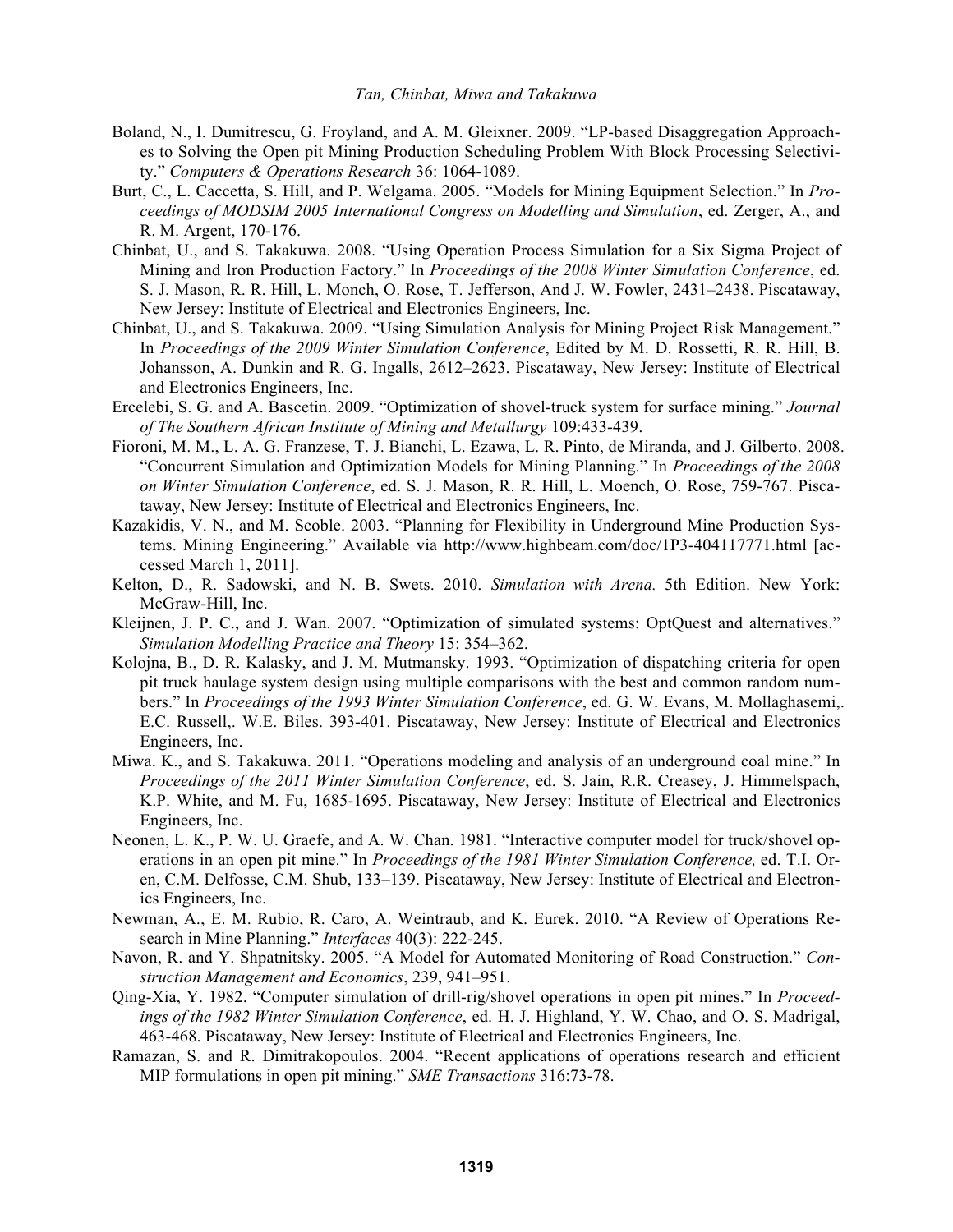- Boland, N., I. Dumitrescu, G. Froyland, and A. M. Gleixner. 2009. "LP-based Disaggregation Approaches to Solving the Open pit Mining Production Scheduling Problem With Block Processing Selectivity." *Computers & Operations Research* 36: 1064-1089.
- Burt, C., L. Caccetta, S. Hill, and P. Welgama. 2005. "Models for Mining Equipment Selection." In *Proceedings of MODSIM 2005 International Congress on Modelling and Simulation*, ed. Zerger, A., and R. M. Argent, 170-176.
- Chinbat, U., and S. Takakuwa. 2008. "Using Operation Process Simulation for a Six Sigma Project of Mining and Iron Production Factory." In *Proceedings of the 2008 Winter Simulation Conference*, ed. S. J. Mason, R. R. Hill, L. Monch, O. Rose, T. Jefferson, And J. W. Fowler, 2431–2438. Piscataway, New Jersey: Institute of Electrical and Electronics Engineers, Inc.
- Chinbat, U., and S. Takakuwa. 2009. "Using Simulation Analysis for Mining Project Risk Management." In *Proceedings of the 2009 Winter Simulation Conference*, Edited by M. D. Rossetti, R. R. Hill, B. Johansson, A. Dunkin and R. G. Ingalls, 2612–2623. Piscataway, New Jersey: Institute of Electrical and Electronics Engineers, Inc.
- Ercelebi, S. G. and A. Bascetin. 2009. "Optimization of shovel-truck system for surface mining." *Journal of The Southern African Institute of Mining and Metallurgy* 109:433-439.
- Fioroni, M. M., L. A. G. Franzese, T. J. Bianchi, L. Ezawa, L. R. Pinto, de Miranda, and J. Gilberto. 2008. "Concurrent Simulation and Optimization Models for Mining Planning." In *Proceedings of the 2008 on Winter Simulation Conference*, ed. S. J. Mason, R. R. Hill, L. Moench, O. Rose, 759-767. Piscataway, New Jersey: Institute of Electrical and Electronics Engineers, Inc.
- Kazakidis, V. N., and M. Scoble. 2003. "Planning for Flexibility in Underground Mine Production Systems. Mining Engineering." Available via http://www.highbeam.com/doc/1P3-404117771.html [accessed March 1, 2011].
- Kelton, D., R. Sadowski, and N. B. Swets. 2010. *Simulation with Arena.* 5th Edition. New York: McGraw-Hill, Inc.
- Kleijnen, J. P. C., and J. Wan. 2007. "Optimization of simulated systems: OptQuest and alternatives." *Simulation Modelling Practice and Theory* 15: 354–362.
- Kolojna, B., D. R. Kalasky, and J. M. Mutmansky. 1993. "Optimization of dispatching criteria for open pit truck haulage system design using multiple comparisons with the best and common random numbers." In *Proceedings of the 1993 Winter Simulation Conference*, ed. G. W. Evans, M. Mollaghasemi,. E.C. Russell,. W.E. Biles. 393-401. Piscataway, New Jersey: Institute of Electrical and Electronics Engineers, Inc.
- Miwa. K., and S. Takakuwa. 2011. "Operations modeling and analysis of an underground coal mine." In *Proceedings of the 2011 Winter Simulation Conference*, ed. S. Jain, R.R. Creasey, J. Himmelspach, K.P. White, and M. Fu, 1685-1695. Piscataway, New Jersey: Institute of Electrical and Electronics Engineers, Inc.
- Neonen, L. K., P. W. U. Graefe, and A. W. Chan. 1981. "Interactive computer model for truck/shovel operations in an open pit mine." In *Proceedings of the 1981 Winter Simulation Conference,* ed. T.I. Oren, C.M. Delfosse, C.M. Shub, 133–139. Piscataway, New Jersey: Institute of Electrical and Electronics Engineers, Inc.
- Newman, A., E. M. Rubio, R. Caro, A. Weintraub, and K. Eurek. 2010. "A Review of Operations Research in Mine Planning." *Interfaces* 40(3): 222-245.
- Navon, R. and Y. Shpatnitsky. 2005. "A Model for Automated Monitoring of Road Construction." *Construction Management and Economics*, 239, 941–951.
- Qing-Xia, Y. 1982. "Computer simulation of drill-rig/shovel operations in open pit mines." In *Proceedings of the 1982 Winter Simulation Conference*, ed. H. J. Highland, Y. W. Chao, and O. S. Madrigal, 463-468. Piscataway, New Jersey: Institute of Electrical and Electronics Engineers, Inc.
- Ramazan, S. and R. Dimitrakopoulos. 2004. "Recent applications of operations research and efficient MIP formulations in open pit mining." *SME Transactions* 316:73-78.